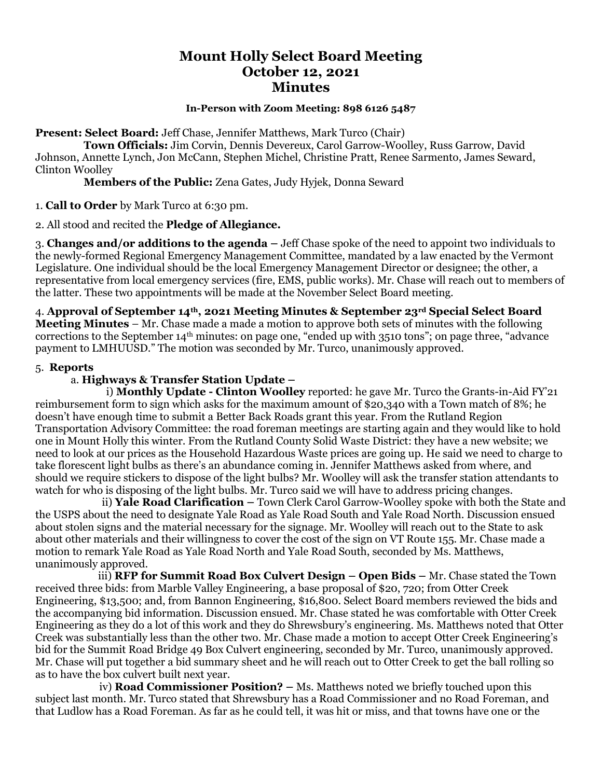# **Mount Holly Select Board Meeting October 12, 2021 Minutes**

#### **In-Person with Zoom Meeting: 898 6126 5487**

**Present: Select Board:** Jeff Chase, Jennifer Matthews, Mark Turco (Chair)

 **Town Officials:** Jim Corvin, Dennis Devereux, Carol Garrow-Woolley, Russ Garrow, David Johnson, Annette Lynch, Jon McCann, Stephen Michel, Christine Pratt, Renee Sarmento, James Seward, Clinton Woolley

**Members of the Public:** Zena Gates, Judy Hyjek, Donna Seward

1. **Call to Order** by Mark Turco at 6:30 pm.

2. All stood and recited the **Pledge of Allegiance.**

3. **Changes and/or additions to the agenda –** Jeff Chase spoke of the need to appoint two individuals to the newly-formed Regional Emergency Management Committee, mandated by a law enacted by the Vermont Legislature. One individual should be the local Emergency Management Director or designee; the other, a representative from local emergency services (fire, EMS, public works). Mr. Chase will reach out to members of the latter. These two appointments will be made at the November Select Board meeting.

4. **Approval of September 14th, 2021 Meeting Minutes & September 23rd Special Select Board Meeting Minutes** – Mr. Chase made a made a motion to approve both sets of minutes with the following corrections to the September 14th minutes: on page one, "ended up with 3510 tons"; on page three, "advance payment to LMHUUSD." The motion was seconded by Mr. Turco, unanimously approved.

## 5. **Reports**

# a. **Highways & Transfer Station Update –**

i) **Monthly Update - Clinton Woolley** reported: he gave Mr. Turco the Grants-in-Aid FY'21 reimbursement form to sign which asks for the maximum amount of \$20,340 with a Town match of 8%; he doesn't have enough time to submit a Better Back Roads grant this year. From the Rutland Region Transportation Advisory Committee: the road foreman meetings are starting again and they would like to hold one in Mount Holly this winter. From the Rutland County Solid Waste District: they have a new website; we need to look at our prices as the Household Hazardous Waste prices are going up. He said we need to charge to take florescent light bulbs as there's an abundance coming in. Jennifer Matthews asked from where, and should we require stickers to dispose of the light bulbs? Mr. Woolley will ask the transfer station attendants to watch for who is disposing of the light bulbs. Mr. Turco said we will have to address pricing changes.

 ii) **Yale Road Clarification –** Town Clerk Carol Garrow-Woolley spoke with both the State and the USPS about the need to designate Yale Road as Yale Road South and Yale Road North. Discussion ensued about stolen signs and the material necessary for the signage. Mr. Woolley will reach out to the State to ask about other materials and their willingness to cover the cost of the sign on VT Route 155. Mr. Chase made a motion to remark Yale Road as Yale Road North and Yale Road South, seconded by Ms. Matthews, unanimously approved.

iii) **RFP for Summit Road Box Culvert Design – Open Bids –** Mr. Chase stated the Town received three bids: from Marble Valley Engineering, a base proposal of \$20, 720; from Otter Creek Engineering, \$13,500; and, from Bannon Engineering, \$16,800. Select Board members reviewed the bids and the accompanying bid information. Discussion ensued. Mr. Chase stated he was comfortable with Otter Creek Engineering as they do a lot of this work and they do Shrewsbury's engineering. Ms. Matthews noted that Otter Creek was substantially less than the other two. Mr. Chase made a motion to accept Otter Creek Engineering's bid for the Summit Road Bridge 49 Box Culvert engineering, seconded by Mr. Turco, unanimously approved. Mr. Chase will put together a bid summary sheet and he will reach out to Otter Creek to get the ball rolling so as to have the box culvert built next year.

 iv) **Road Commissioner Position? –** Ms. Matthews noted we briefly touched upon this subject last month. Mr. Turco stated that Shrewsbury has a Road Commissioner and no Road Foreman, and that Ludlow has a Road Foreman. As far as he could tell, it was hit or miss, and that towns have one or the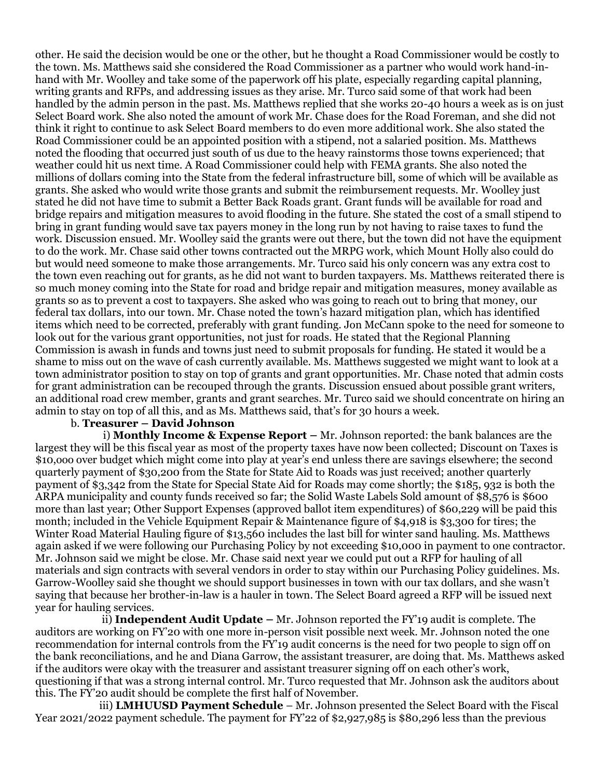other. He said the decision would be one or the other, but he thought a Road Commissioner would be costly to the town. Ms. Matthews said she considered the Road Commissioner as a partner who would work hand-inhand with Mr. Woolley and take some of the paperwork off his plate, especially regarding capital planning, writing grants and RFPs, and addressing issues as they arise. Mr. Turco said some of that work had been handled by the admin person in the past. Ms. Matthews replied that she works 20-40 hours a week as is on just Select Board work. She also noted the amount of work Mr. Chase does for the Road Foreman, and she did not think it right to continue to ask Select Board members to do even more additional work. She also stated the Road Commissioner could be an appointed position with a stipend, not a salaried position. Ms. Matthews noted the flooding that occurred just south of us due to the heavy rainstorms those towns experienced; that weather could hit us next time. A Road Commissioner could help with FEMA grants. She also noted the millions of dollars coming into the State from the federal infrastructure bill, some of which will be available as grants. She asked who would write those grants and submit the reimbursement requests. Mr. Woolley just stated he did not have time to submit a Better Back Roads grant. Grant funds will be available for road and bridge repairs and mitigation measures to avoid flooding in the future. She stated the cost of a small stipend to bring in grant funding would save tax payers money in the long run by not having to raise taxes to fund the work. Discussion ensued. Mr. Woolley said the grants were out there, but the town did not have the equipment to do the work. Mr. Chase said other towns contracted out the MRPG work, which Mount Holly also could do but would need someone to make those arrangements. Mr. Turco said his only concern was any extra cost to the town even reaching out for grants, as he did not want to burden taxpayers. Ms. Matthews reiterated there is so much money coming into the State for road and bridge repair and mitigation measures, money available as grants so as to prevent a cost to taxpayers. She asked who was going to reach out to bring that money, our federal tax dollars, into our town. Mr. Chase noted the town's hazard mitigation plan, which has identified items which need to be corrected, preferably with grant funding. Jon McCann spoke to the need for someone to look out for the various grant opportunities, not just for roads. He stated that the Regional Planning Commission is awash in funds and towns just need to submit proposals for funding. He stated it would be a shame to miss out on the wave of cash currently available. Ms. Matthews suggested we might want to look at a town administrator position to stay on top of grants and grant opportunities. Mr. Chase noted that admin costs for grant administration can be recouped through the grants. Discussion ensued about possible grant writers, an additional road crew member, grants and grant searches. Mr. Turco said we should concentrate on hiring an admin to stay on top of all this, and as Ms. Matthews said, that's for 30 hours a week.

# b. **Treasurer – David Johnson**

 i) **Monthly Income & Expense Report –** Mr. Johnson reported: the bank balances are the largest they will be this fiscal year as most of the property taxes have now been collected; Discount on Taxes is \$10,ooo over budget which might come into play at year's end unless there are savings elsewhere; the second quarterly payment of \$30,200 from the State for State Aid to Roads was just received; another quarterly payment of \$3,342 from the State for Special State Aid for Roads may come shortly; the \$185, 932 is both the ARPA municipality and county funds received so far; the Solid Waste Labels Sold amount of \$8,576 is \$600 more than last year; Other Support Expenses (approved ballot item expenditures) of \$60,229 will be paid this month; included in the Vehicle Equipment Repair & Maintenance figure of \$4,918 is \$3,300 for tires; the Winter Road Material Hauling figure of \$13,560 includes the last bill for winter sand hauling. Ms. Matthews again asked if we were following our Purchasing Policy by not exceeding \$10,000 in payment to one contractor. Mr. Johnson said we might be close. Mr. Chase said next year we could put out a RFP for hauling of all materials and sign contracts with several vendors in order to stay within our Purchasing Policy guidelines. Ms. Garrow-Woolley said she thought we should support businesses in town with our tax dollars, and she wasn't saying that because her brother-in-law is a hauler in town. The Select Board agreed a RFP will be issued next year for hauling services.

 ii) **Independent Audit Update –** Mr. Johnson reported the FY'19 audit is complete. The auditors are working on FY'20 with one more in-person visit possible next week. Mr. Johnson noted the one recommendation for internal controls from the FY'19 audit concerns is the need for two people to sign off on the bank reconciliations, and he and Diana Garrow, the assistant treasurer, are doing that. Ms. Matthews asked if the auditors were okay with the treasurer and assistant treasurer signing off on each other's work, questioning if that was a strong internal control. Mr. Turco requested that Mr. Johnson ask the auditors about this. The FY'20 audit should be complete the first half of November.

 iii) **LMHUUSD Payment Schedule** – Mr. Johnson presented the Select Board with the Fiscal Year 2021/2022 payment schedule. The payment for FY'22 of \$2,927,985 is \$80,296 less than the previous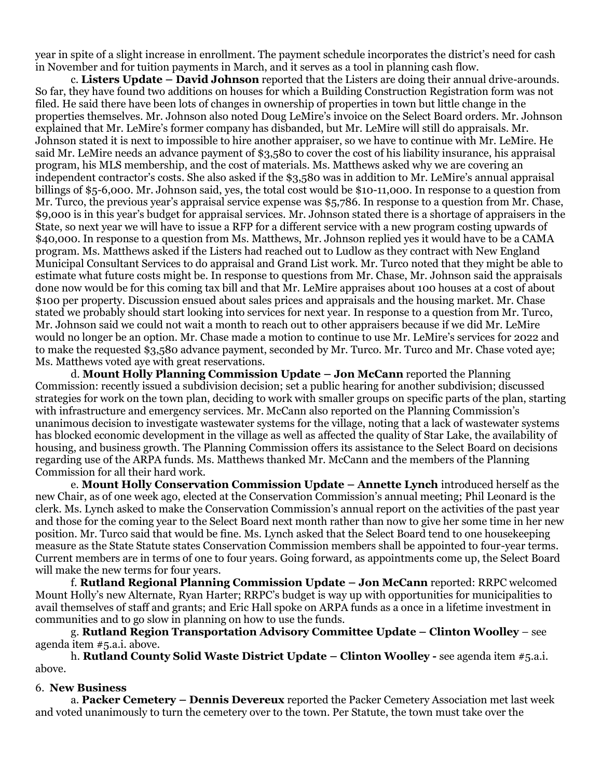year in spite of a slight increase in enrollment. The payment schedule incorporates the district's need for cash in November and for tuition payments in March, and it serves as a tool in planning cash flow.

c. **Listers Update – David Johnson** reported that the Listers are doing their annual drive-arounds. So far, they have found two additions on houses for which a Building Construction Registration form was not filed. He said there have been lots of changes in ownership of properties in town but little change in the properties themselves. Mr. Johnson also noted Doug LeMire's invoice on the Select Board orders. Mr. Johnson explained that Mr. LeMire's former company has disbanded, but Mr. LeMire will still do appraisals. Mr. Johnson stated it is next to impossible to hire another appraiser, so we have to continue with Mr. LeMire. He said Mr. LeMire needs an advance payment of \$3,580 to cover the cost of his liability insurance, his appraisal program, his MLS membership, and the cost of materials. Ms. Matthews asked why we are covering an independent contractor's costs. She also asked if the \$3,580 was in addition to Mr. LeMire's annual appraisal billings of \$5-6,000. Mr. Johnson said, yes, the total cost would be \$10-11,000. In response to a question from Mr. Turco, the previous year's appraisal service expense was \$5,786. In response to a question from Mr. Chase, \$9,000 is in this year's budget for appraisal services. Mr. Johnson stated there is a shortage of appraisers in the State, so next year we will have to issue a RFP for a different service with a new program costing upwards of \$40,000. In response to a question from Ms. Matthews, Mr. Johnson replied yes it would have to be a CAMA program. Ms. Matthews asked if the Listers had reached out to Ludlow as they contract with New England Municipal Consultant Services to do appraisal and Grand List work. Mr. Turco noted that they might be able to estimate what future costs might be. In response to questions from Mr. Chase, Mr. Johnson said the appraisals done now would be for this coming tax bill and that Mr. LeMire appraises about 100 houses at a cost of about \$100 per property. Discussion ensued about sales prices and appraisals and the housing market. Mr. Chase stated we probably should start looking into services for next year. In response to a question from Mr. Turco, Mr. Johnson said we could not wait a month to reach out to other appraisers because if we did Mr. LeMire would no longer be an option. Mr. Chase made a motion to continue to use Mr. LeMire's services for 2022 and to make the requested \$3,580 advance payment, seconded by Mr. Turco. Mr. Turco and Mr. Chase voted aye; Ms. Matthews voted aye with great reservations.

d. **Mount Holly Planning Commission Update – Jon McCann** reported the Planning Commission: recently issued a subdivision decision; set a public hearing for another subdivision; discussed strategies for work on the town plan, deciding to work with smaller groups on specific parts of the plan, starting with infrastructure and emergency services. Mr. McCann also reported on the Planning Commission's unanimous decision to investigate wastewater systems for the village, noting that a lack of wastewater systems has blocked economic development in the village as well as affected the quality of Star Lake, the availability of housing, and business growth. The Planning Commission offers its assistance to the Select Board on decisions regarding use of the ARPA funds. Ms. Matthews thanked Mr. McCann and the members of the Planning Commission for all their hard work.

e. **Mount Holly Conservation Commission Update – Annette Lynch** introduced herself as the new Chair, as of one week ago, elected at the Conservation Commission's annual meeting; Phil Leonard is the clerk. Ms. Lynch asked to make the Conservation Commission's annual report on the activities of the past year and those for the coming year to the Select Board next month rather than now to give her some time in her new position. Mr. Turco said that would be fine. Ms. Lynch asked that the Select Board tend to one housekeeping measure as the State Statute states Conservation Commission members shall be appointed to four-year terms. Current members are in terms of one to four years. Going forward, as appointments come up, the Select Board will make the new terms for four years.

f. **Rutland Regional Planning Commission Update – Jon McCann** reported: RRPC welcomed Mount Holly's new Alternate, Ryan Harter; RRPC's budget is way up with opportunities for municipalities to avail themselves of staff and grants; and Eric Hall spoke on ARPA funds as a once in a lifetime investment in communities and to go slow in planning on how to use the funds.

g. **Rutland Region Transportation Advisory Committee Update – Clinton Woolley** – see agenda item #5.a.i. above.

h. **Rutland County Solid Waste District Update – Clinton Woolley -** see agenda item #5.a.i. above.

### 6. **New Business**

a. **Packer Cemetery – Dennis Devereux** reported the Packer Cemetery Association met last week and voted unanimously to turn the cemetery over to the town. Per Statute, the town must take over the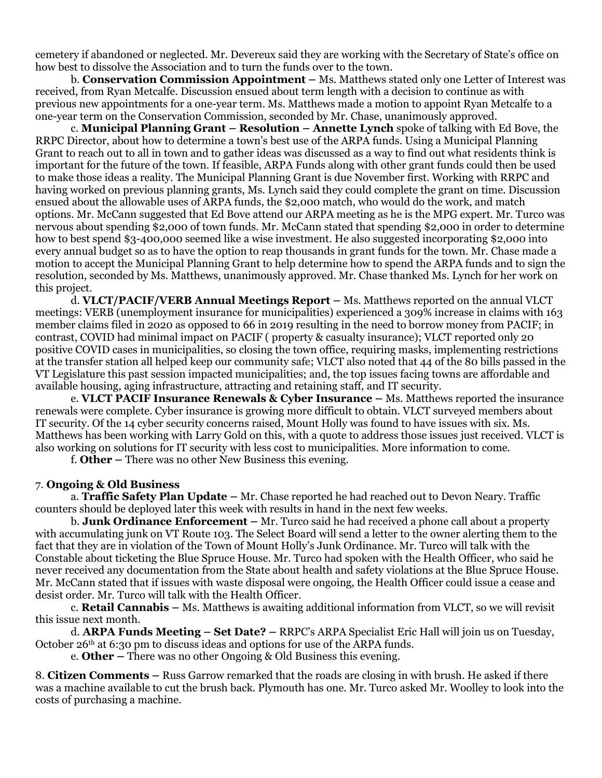cemetery if abandoned or neglected. Mr. Devereux said they are working with the Secretary of State's office on how best to dissolve the Association and to turn the funds over to the town.

b*.* **Conservation Commission Appointment –** Ms. Matthews stated only one Letter of Interest was received, from Ryan Metcalfe. Discussion ensued about term length with a decision to continue as with previous new appointments for a one-year term. Ms. Matthews made a motion to appoint Ryan Metcalfe to a one-year term on the Conservation Commission, seconded by Mr. Chase, unanimously approved.

c. **Municipal Planning Grant – Resolution – Annette Lynch** spoke of talking with Ed Bove, the RRPC Director, about how to determine a town's best use of the ARPA funds. Using a Municipal Planning Grant to reach out to all in town and to gather ideas was discussed as a way to find out what residents think is important for the future of the town. If feasible, ARPA Funds along with other grant funds could then be used to make those ideas a reality. The Municipal Planning Grant is due November first. Working with RRPC and having worked on previous planning grants, Ms. Lynch said they could complete the grant on time. Discussion ensued about the allowable uses of ARPA funds, the \$2,000 match, who would do the work, and match options. Mr. McCann suggested that Ed Bove attend our ARPA meeting as he is the MPG expert. Mr. Turco was nervous about spending \$2,000 of town funds. Mr. McCann stated that spending \$2,000 in order to determine how to best spend \$3-400,000 seemed like a wise investment. He also suggested incorporating \$2,000 into every annual budget so as to have the option to reap thousands in grant funds for the town. Mr. Chase made a motion to accept the Municipal Planning Grant to help determine how to spend the ARPA funds and to sign the resolution, seconded by Ms. Matthews, unanimously approved. Mr. Chase thanked Ms. Lynch for her work on this project.

d. **VLCT/PACIF/VERB Annual Meetings Report –** Ms. Matthews reported on the annual VLCT meetings: VERB (unemployment insurance for municipalities) experienced a 309% increase in claims with 163 member claims filed in 2020 as opposed to 66 in 2019 resulting in the need to borrow money from PACIF; in contrast, COVID had minimal impact on PACIF ( property & casualty insurance); VLCT reported only 20 positive COVID cases in municipalities, so closing the town office, requiring masks, implementing restrictions at the transfer station all helped keep our community safe; VLCT also noted that 44 of the 80 bills passed in the VT Legislature this past session impacted municipalities; and, the top issues facing towns are affordable and available housing, aging infrastructure, attracting and retaining staff, and IT security.

e. **VLCT PACIF Insurance Renewals & Cyber Insurance –** Ms. Matthews reported the insurance renewals were complete. Cyber insurance is growing more difficult to obtain. VLCT surveyed members about IT security. Of the 14 cyber security concerns raised, Mount Holly was found to have issues with six. Ms. Matthews has been working with Larry Gold on this, with a quote to address those issues just received. VLCT is also working on solutions for IT security with less cost to municipalities. More information to come.

f. **Other –** There was no other New Business this evening.

#### 7. **Ongoing & Old Business**

a. **Traffic Safety Plan Update –** Mr. Chase reported he had reached out to Devon Neary. Traffic counters should be deployed later this week with results in hand in the next few weeks.

b. **Junk Ordinance Enforcement –** Mr. Turco said he had received a phone call about a property with accumulating junk on VT Route 103. The Select Board will send a letter to the owner alerting them to the fact that they are in violation of the Town of Mount Holly's Junk Ordinance. Mr. Turco will talk with the Constable about ticketing the Blue Spruce House. Mr. Turco had spoken with the Health Officer, who said he never received any documentation from the State about health and safety violations at the Blue Spruce House. Mr. McCann stated that if issues with waste disposal were ongoing, the Health Officer could issue a cease and desist order. Mr. Turco will talk with the Health Officer.

c. **Retail Cannabis –** Ms. Matthews is awaiting additional information from VLCT, so we will revisit this issue next month.

d. **ARPA Funds Meeting – Set Date? –** RRPC's ARPA Specialist Eric Hall will join us on Tuesday, October 26<sup>th</sup> at 6:30 pm to discuss ideas and options for use of the ARPA funds.

e. **Other –** There was no other Ongoing & Old Business this evening.

8. **Citizen Comments –** Russ Garrow remarked that the roads are closing in with brush. He asked if there was a machine available to cut the brush back. Plymouth has one. Mr. Turco asked Mr. Woolley to look into the costs of purchasing a machine.